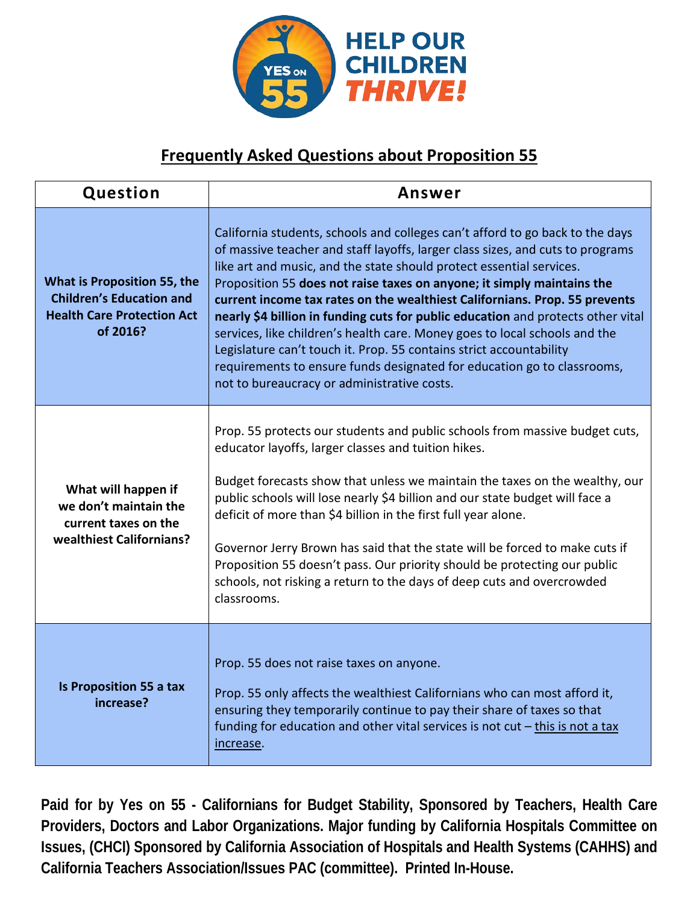

## **Frequently Asked Questions about Proposition 55**

| Question                                                                                                               | Answer                                                                                                                                                                                                                                                                                                                                                                                                                                                                                                                                                                                                                                                                                                                                                             |
|------------------------------------------------------------------------------------------------------------------------|--------------------------------------------------------------------------------------------------------------------------------------------------------------------------------------------------------------------------------------------------------------------------------------------------------------------------------------------------------------------------------------------------------------------------------------------------------------------------------------------------------------------------------------------------------------------------------------------------------------------------------------------------------------------------------------------------------------------------------------------------------------------|
| <b>What is Proposition 55, the</b><br><b>Children's Education and</b><br><b>Health Care Protection Act</b><br>of 2016? | California students, schools and colleges can't afford to go back to the days<br>of massive teacher and staff layoffs, larger class sizes, and cuts to programs<br>like art and music, and the state should protect essential services.<br>Proposition 55 does not raise taxes on anyone; it simply maintains the<br>current income tax rates on the wealthiest Californians. Prop. 55 prevents<br>nearly \$4 billion in funding cuts for public education and protects other vital<br>services, like children's health care. Money goes to local schools and the<br>Legislature can't touch it. Prop. 55 contains strict accountability<br>requirements to ensure funds designated for education go to classrooms,<br>not to bureaucracy or administrative costs. |
| What will happen if<br>we don't maintain the<br>current taxes on the<br>wealthiest Californians?                       | Prop. 55 protects our students and public schools from massive budget cuts,<br>educator layoffs, larger classes and tuition hikes.<br>Budget forecasts show that unless we maintain the taxes on the wealthy, our<br>public schools will lose nearly \$4 billion and our state budget will face a<br>deficit of more than \$4 billion in the first full year alone.<br>Governor Jerry Brown has said that the state will be forced to make cuts if<br>Proposition 55 doesn't pass. Our priority should be protecting our public<br>schools, not risking a return to the days of deep cuts and overcrowded<br>classrooms.                                                                                                                                           |
| Is Proposition 55 a tax<br>increase?                                                                                   | Prop. 55 does not raise taxes on anyone.<br>Prop. 55 only affects the wealthiest Californians who can most afford it,<br>ensuring they temporarily continue to pay their share of taxes so that<br>funding for education and other vital services is not cut $-\frac{f}{f}$ this is not a tax<br>increase.                                                                                                                                                                                                                                                                                                                                                                                                                                                         |

**Paid for by Yes on 55 - Californians for Budget Stability, Sponsored by Teachers, Health Care Providers, Doctors and Labor Organizations. Major funding by California Hospitals Committee on Issues, (CHCI) Sponsored by California Association of Hospitals and Health Systems (CAHHS) and California Teachers Association/Issues PAC (committee). Printed In-House.**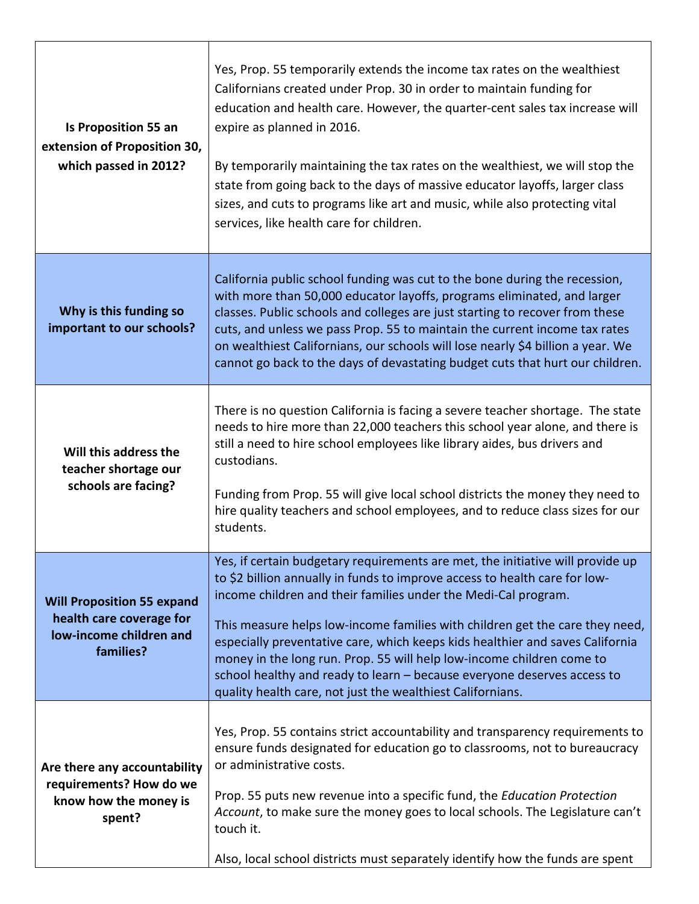| <b>Is Proposition 55 an</b><br>extension of Proposition 30,<br>which passed in 2012?                  | Yes, Prop. 55 temporarily extends the income tax rates on the wealthiest<br>Californians created under Prop. 30 in order to maintain funding for<br>education and health care. However, the quarter-cent sales tax increase will<br>expire as planned in 2016.<br>By temporarily maintaining the tax rates on the wealthiest, we will stop the<br>state from going back to the days of massive educator layoffs, larger class<br>sizes, and cuts to programs like art and music, while also protecting vital<br>services, like health care for children.                                                          |
|-------------------------------------------------------------------------------------------------------|-------------------------------------------------------------------------------------------------------------------------------------------------------------------------------------------------------------------------------------------------------------------------------------------------------------------------------------------------------------------------------------------------------------------------------------------------------------------------------------------------------------------------------------------------------------------------------------------------------------------|
| Why is this funding so<br>important to our schools?                                                   | California public school funding was cut to the bone during the recession,<br>with more than 50,000 educator layoffs, programs eliminated, and larger<br>classes. Public schools and colleges are just starting to recover from these<br>cuts, and unless we pass Prop. 55 to maintain the current income tax rates<br>on wealthiest Californians, our schools will lose nearly \$4 billion a year. We<br>cannot go back to the days of devastating budget cuts that hurt our children.                                                                                                                           |
| Will this address the<br>teacher shortage our<br>schools are facing?                                  | There is no question California is facing a severe teacher shortage. The state<br>needs to hire more than 22,000 teachers this school year alone, and there is<br>still a need to hire school employees like library aides, bus drivers and<br>custodians.<br>Funding from Prop. 55 will give local school districts the money they need to<br>hire quality teachers and school employees, and to reduce class sizes for our<br>students.                                                                                                                                                                         |
| <b>Will Proposition 55 expand</b><br>health care coverage for<br>low-income children and<br>families? | Yes, if certain budgetary requirements are met, the initiative will provide up<br>to \$2 billion annually in funds to improve access to health care for low-<br>income children and their families under the Medi-Cal program.<br>This measure helps low-income families with children get the care they need,<br>especially preventative care, which keeps kids healthier and saves California<br>money in the long run. Prop. 55 will help low-income children come to<br>school healthy and ready to learn - because everyone deserves access to<br>quality health care, not just the wealthiest Californians. |
| Are there any accountability<br>requirements? How do we<br>know how the money is<br>spent?            | Yes, Prop. 55 contains strict accountability and transparency requirements to<br>ensure funds designated for education go to classrooms, not to bureaucracy<br>or administrative costs.<br>Prop. 55 puts new revenue into a specific fund, the Education Protection<br>Account, to make sure the money goes to local schools. The Legislature can't<br>touch it.<br>Also, local school districts must separately identify how the funds are spent                                                                                                                                                                 |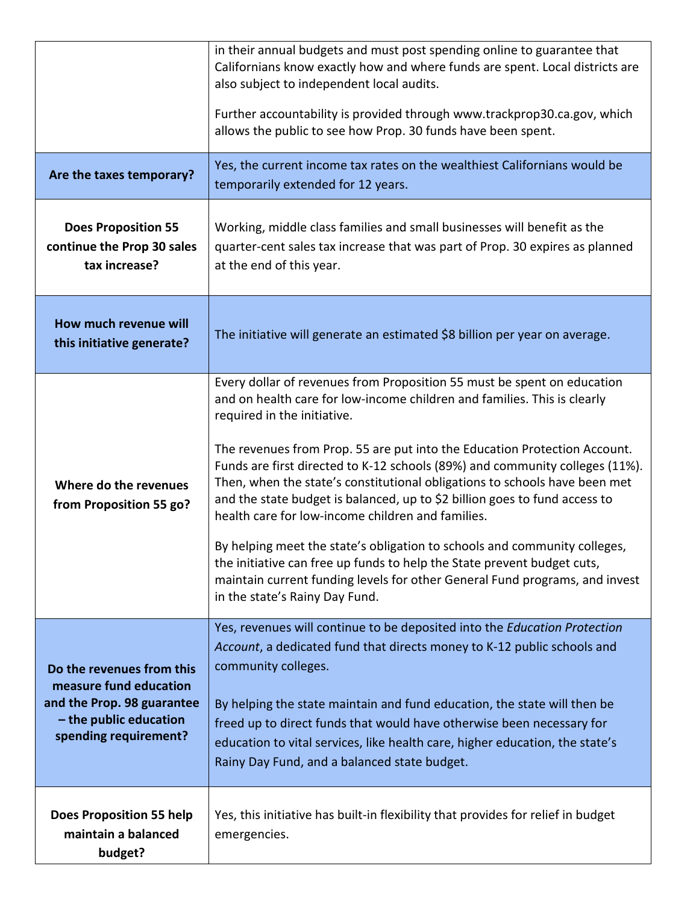|                                                                                                                                      | in their annual budgets and must post spending online to guarantee that<br>Californians know exactly how and where funds are spent. Local districts are<br>also subject to independent local audits.<br>Further accountability is provided through www.trackprop30.ca.gov, which<br>allows the public to see how Prop. 30 funds have been spent.                                                                                                                                                                                                                                                                                                                                                                                                                                                                                          |
|--------------------------------------------------------------------------------------------------------------------------------------|-------------------------------------------------------------------------------------------------------------------------------------------------------------------------------------------------------------------------------------------------------------------------------------------------------------------------------------------------------------------------------------------------------------------------------------------------------------------------------------------------------------------------------------------------------------------------------------------------------------------------------------------------------------------------------------------------------------------------------------------------------------------------------------------------------------------------------------------|
| Are the taxes temporary?                                                                                                             | Yes, the current income tax rates on the wealthiest Californians would be<br>temporarily extended for 12 years.                                                                                                                                                                                                                                                                                                                                                                                                                                                                                                                                                                                                                                                                                                                           |
| <b>Does Proposition 55</b><br>continue the Prop 30 sales<br>tax increase?                                                            | Working, middle class families and small businesses will benefit as the<br>quarter-cent sales tax increase that was part of Prop. 30 expires as planned<br>at the end of this year.                                                                                                                                                                                                                                                                                                                                                                                                                                                                                                                                                                                                                                                       |
| How much revenue will<br>this initiative generate?                                                                                   | The initiative will generate an estimated \$8 billion per year on average.                                                                                                                                                                                                                                                                                                                                                                                                                                                                                                                                                                                                                                                                                                                                                                |
| Where do the revenues<br>from Proposition 55 go?                                                                                     | Every dollar of revenues from Proposition 55 must be spent on education<br>and on health care for low-income children and families. This is clearly<br>required in the initiative.<br>The revenues from Prop. 55 are put into the Education Protection Account.<br>Funds are first directed to K-12 schools (89%) and community colleges (11%).<br>Then, when the state's constitutional obligations to schools have been met<br>and the state budget is balanced, up to \$2 billion goes to fund access to<br>health care for low-income children and families.<br>By helping meet the state's obligation to schools and community colleges,<br>the initiative can free up funds to help the State prevent budget cuts,<br>maintain current funding levels for other General Fund programs, and invest<br>in the state's Rainy Day Fund. |
| Do the revenues from this<br>measure fund education<br>and the Prop. 98 guarantee<br>- the public education<br>spending requirement? | Yes, revenues will continue to be deposited into the Education Protection<br>Account, a dedicated fund that directs money to K-12 public schools and<br>community colleges.<br>By helping the state maintain and fund education, the state will then be<br>freed up to direct funds that would have otherwise been necessary for<br>education to vital services, like health care, higher education, the state's<br>Rainy Day Fund, and a balanced state budget.                                                                                                                                                                                                                                                                                                                                                                          |
| <b>Does Proposition 55 help</b><br>maintain a balanced<br>budget?                                                                    | Yes, this initiative has built-in flexibility that provides for relief in budget<br>emergencies.                                                                                                                                                                                                                                                                                                                                                                                                                                                                                                                                                                                                                                                                                                                                          |